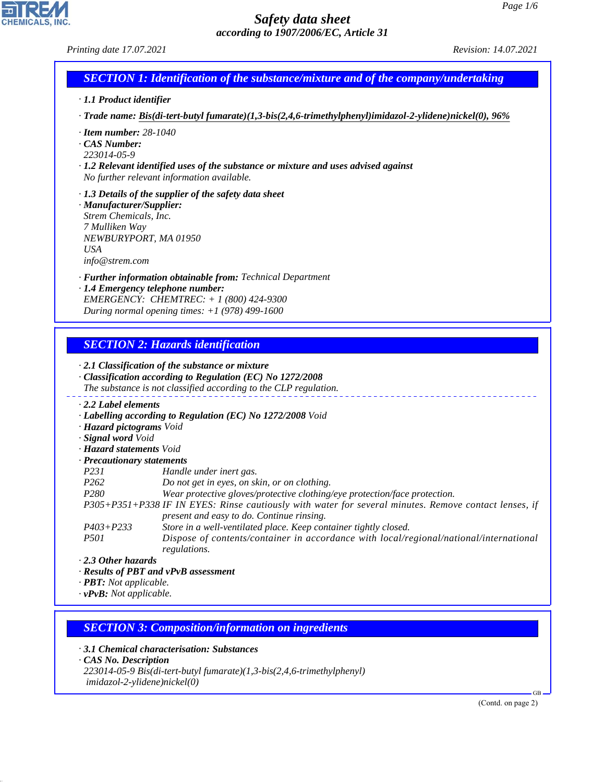*Printing date 17.07.2021 Revision: 14.07.2021*

# *SECTION 1: Identification of the substance/mixture and of the company/undertaking*

- *· 1.1 Product identifier*
- *· Trade name: Bis(di-tert-butyl fumarate)(1,3-bis(2,4,6-trimethylphenyl)imidazol-2-ylidene)nickel(0), 96%*
- *· Item number: 28-1040*
- *· CAS Number:*
- *223014-05-9*
- *· 1.2 Relevant identified uses of the substance or mixture and uses advised against No further relevant information available.*
- *· 1.3 Details of the supplier of the safety data sheet*
- *· Manufacturer/Supplier: Strem Chemicals, Inc. 7 Mulliken Way NEWBURYPORT, MA 01950 USA info@strem.com*
- *· Further information obtainable from: Technical Department*
- *· 1.4 Emergency telephone number: EMERGENCY: CHEMTREC: + 1 (800) 424-9300 During normal opening times: +1 (978) 499-1600*

# *SECTION 2: Hazards identification*

#### *· 2.1 Classification of the substance or mixture · Classification according to Regulation (EC) No 1272/2008 The substance is not classified according to the CLP regulation. · 2.2 Label elements · Labelling according to Regulation (EC) No 1272/2008 Void · Hazard pictograms Void · Signal word Void · Hazard statements Void · Precautionary statements P231 Handle under inert gas. P262 Do not get in eyes, on skin, or on clothing. P280 Wear protective gloves/protective clothing/eye protection/face protection. P305+P351+P338 IF IN EYES: Rinse cautiously with water for several minutes. Remove contact lenses, if present and easy to do. Continue rinsing. P403+P233 Store in a well-ventilated place. Keep container tightly closed. P501 Dispose of contents/container in accordance with local/regional/national/international regulations. · 2.3 Other hazards · Results of PBT and vPvB assessment · PBT: Not applicable.*

- 
- *· vPvB: Not applicable.*

44.1.1

# *SECTION 3: Composition/information on ingredients*

*· 3.1 Chemical characterisation: Substances · CAS No. Description 223014-05-9 Bis(di-tert-butyl fumarate)(1,3-bis(2,4,6-trimethylphenyl) imidazol-2-ylidene)nickel(0)*

(Contd. on page 2)

GB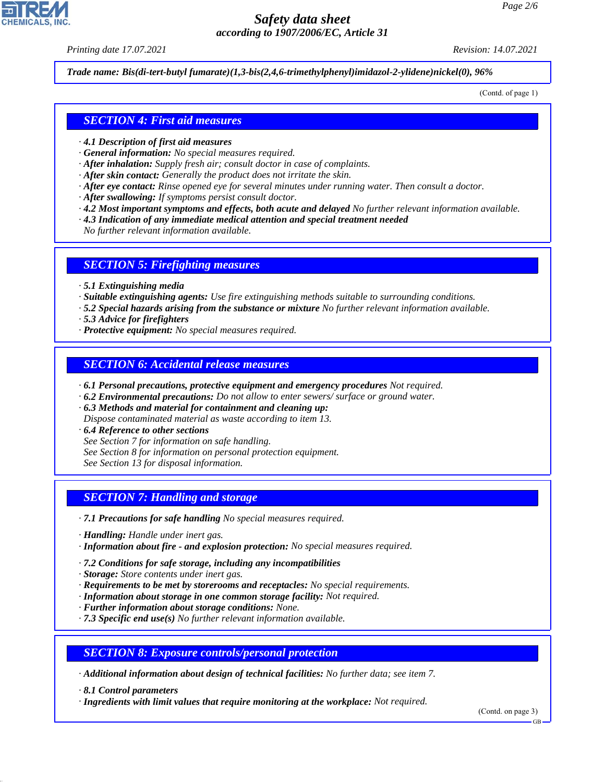*Printing date 17.07.2021 Revision: 14.07.2021*

*Trade name: Bis(di-tert-butyl fumarate)(1,3-bis(2,4,6-trimethylphenyl)imidazol-2-ylidene)nickel(0), 96%*

(Contd. of page 1)

## *SECTION 4: First aid measures*

- *· 4.1 Description of first aid measures*
- *· General information: No special measures required.*
- *· After inhalation: Supply fresh air; consult doctor in case of complaints.*
- *· After skin contact: Generally the product does not irritate the skin.*
- *· After eye contact: Rinse opened eye for several minutes under running water. Then consult a doctor.*
- *· After swallowing: If symptoms persist consult doctor.*
- *· 4.2 Most important symptoms and effects, both acute and delayed No further relevant information available.*
- *· 4.3 Indication of any immediate medical attention and special treatment needed*

*No further relevant information available.*

#### *SECTION 5: Firefighting measures*

- *· 5.1 Extinguishing media*
- *· Suitable extinguishing agents: Use fire extinguishing methods suitable to surrounding conditions.*
- *· 5.2 Special hazards arising from the substance or mixture No further relevant information available.*
- *· 5.3 Advice for firefighters*
- *· Protective equipment: No special measures required.*

## *SECTION 6: Accidental release measures*

- *· 6.1 Personal precautions, protective equipment and emergency procedures Not required.*
- *· 6.2 Environmental precautions: Do not allow to enter sewers/ surface or ground water.*
- *· 6.3 Methods and material for containment and cleaning up: Dispose contaminated material as waste according to item 13.*
- *· 6.4 Reference to other sections*
- *See Section 7 for information on safe handling.*
- *See Section 8 for information on personal protection equipment.*
- *See Section 13 for disposal information.*

## *SECTION 7: Handling and storage*

- *· 7.1 Precautions for safe handling No special measures required.*
- *· Handling: Handle under inert gas.*
- *· Information about fire and explosion protection: No special measures required.*
- *· 7.2 Conditions for safe storage, including any incompatibilities*
- *· Storage: Store contents under inert gas.*
- *· Requirements to be met by storerooms and receptacles: No special requirements.*
- *· Information about storage in one common storage facility: Not required.*
- *· Further information about storage conditions: None.*
- *· 7.3 Specific end use(s) No further relevant information available.*

*SECTION 8: Exposure controls/personal protection*

*· Additional information about design of technical facilities: No further data; see item 7.*

*· 8.1 Control parameters*

44.1.1

*· Ingredients with limit values that require monitoring at the workplace: Not required.*

(Contd. on page 3)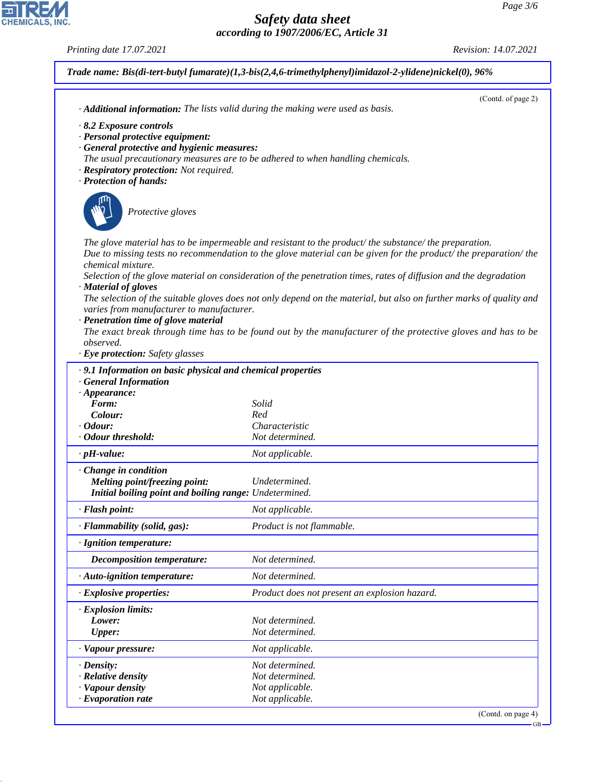*Printing date 17.07.2021 Revision: 14.07.2021*

CHEMICALS, INC.

44.1.1

| · Additional information: The lists valid during the making were used as basis. | (Contd. of page 2)                                                                                                  |
|---------------------------------------------------------------------------------|---------------------------------------------------------------------------------------------------------------------|
| $\cdot$ 8.2 Exposure controls                                                   |                                                                                                                     |
| · Personal protective equipment:                                                |                                                                                                                     |
| · General protective and hygienic measures:                                     |                                                                                                                     |
| The usual precautionary measures are to be adhered to when handling chemicals.  |                                                                                                                     |
| · Respiratory protection: Not required.<br>· Protection of hands:               |                                                                                                                     |
|                                                                                 |                                                                                                                     |
|                                                                                 |                                                                                                                     |
| Protective gloves                                                               |                                                                                                                     |
|                                                                                 |                                                                                                                     |
|                                                                                 | The glove material has to be impermeable and resistant to the product/the substance/the preparation.                |
|                                                                                 | Due to missing tests no recommendation to the glove material can be given for the product/ the preparation/ the     |
| chemical mixture.                                                               |                                                                                                                     |
| · Material of gloves                                                            | Selection of the glove material on consideration of the penetration times, rates of diffusion and the degradation   |
|                                                                                 | The selection of the suitable gloves does not only depend on the material, but also on further marks of quality and |
| varies from manufacturer to manufacturer.                                       |                                                                                                                     |
| · Penetration time of glove material                                            |                                                                                                                     |
|                                                                                 | The exact break through time has to be found out by the manufacturer of the protective gloves and has to be         |
| observed.                                                                       |                                                                                                                     |
| · Eye protection: Safety glasses                                                |                                                                                                                     |
| .9.1 Information on basic physical and chemical properties                      |                                                                                                                     |
| <b>General Information</b>                                                      |                                                                                                                     |
| $\cdot$ Appearance:<br>Form:                                                    | Solid                                                                                                               |
| Colour:                                                                         | Red                                                                                                                 |
| $\cdot$ Odour:                                                                  | Characteristic                                                                                                      |
| · Odour threshold:                                                              | Not determined.                                                                                                     |
| $\cdot$ pH-value:                                                               | Not applicable.                                                                                                     |
| Change in condition                                                             |                                                                                                                     |
| Melting point/freezing point:                                                   | Undetermined.                                                                                                       |
| Initial boiling point and boiling range: Undetermined.                          |                                                                                                                     |
| · Flash point:                                                                  | Not applicable.                                                                                                     |
| · Flammability (solid, gas):                                                    | Product is not flammable.                                                                                           |
| · Ignition temperature:                                                         |                                                                                                                     |
| <b>Decomposition temperature:</b>                                               | Not determined.                                                                                                     |
| · Auto-ignition temperature:                                                    | Not determined.                                                                                                     |
| · Explosive properties:                                                         | Product does not present an explosion hazard.                                                                       |
| · Explosion limits:                                                             |                                                                                                                     |
| Lower:                                                                          | Not determined.                                                                                                     |
| <b>Upper:</b>                                                                   | Not determined.                                                                                                     |
| · Vapour pressure:                                                              | Not applicable.                                                                                                     |
|                                                                                 | Not determined.                                                                                                     |
| $\cdot$ Density:                                                                |                                                                                                                     |
| · Relative density                                                              | Not determined.                                                                                                     |
| · Vapour density<br>$\cdot$ Evaporation rate                                    | Not applicable.<br>Not applicable.                                                                                  |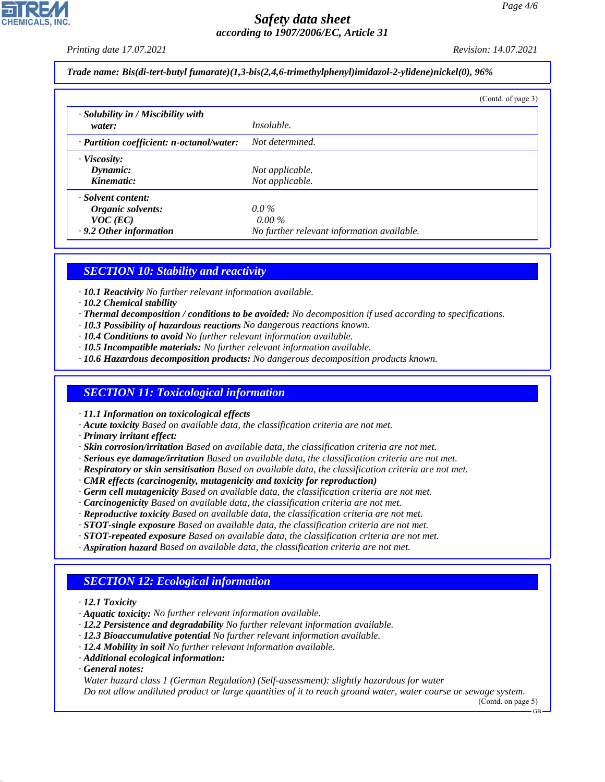*Printing date 17.07.2021 Revision: 14.07.2021*

*Trade name: Bis(di-tert-butyl fumarate)(1,3-bis(2,4,6-trimethylphenyl)imidazol-2-ylidene)nickel(0), 96%*

|                                              | (Contd. of page 3)                         |  |
|----------------------------------------------|--------------------------------------------|--|
| · Solubility in / Miscibility with<br>water: | <i>Insoluble.</i>                          |  |
| · Partition coefficient: n-octanol/water:    | Not determined.                            |  |
| $\cdot$ Viscosity:                           |                                            |  |
| Dynamic:                                     | Not applicable.                            |  |
| Kinematic:                                   | Not applicable.                            |  |
| · Solvent content:                           |                                            |  |
| Organic solvents:                            | $0.0\%$                                    |  |
| $VOC$ (EC)                                   | $0.00\%$                                   |  |
| .9.2 Other information                       | No further relevant information available. |  |

## *SECTION 10: Stability and reactivity*

- *· 10.1 Reactivity No further relevant information available.*
- *· 10.2 Chemical stability*
- *· Thermal decomposition / conditions to be avoided: No decomposition if used according to specifications.*
- *· 10.3 Possibility of hazardous reactions No dangerous reactions known.*
- *· 10.4 Conditions to avoid No further relevant information available.*
- *· 10.5 Incompatible materials: No further relevant information available.*
- *· 10.6 Hazardous decomposition products: No dangerous decomposition products known.*

## *SECTION 11: Toxicological information*

*· 11.1 Information on toxicological effects*

- *· Acute toxicity Based on available data, the classification criteria are not met.*
- *· Primary irritant effect:*
- *· Skin corrosion/irritation Based on available data, the classification criteria are not met.*
- *· Serious eye damage/irritation Based on available data, the classification criteria are not met.*
- *· Respiratory or skin sensitisation Based on available data, the classification criteria are not met.*
- *· CMR effects (carcinogenity, mutagenicity and toxicity for reproduction)*
- *· Germ cell mutagenicity Based on available data, the classification criteria are not met.*
- *· Carcinogenicity Based on available data, the classification criteria are not met.*
- *· Reproductive toxicity Based on available data, the classification criteria are not met.*
- *· STOT-single exposure Based on available data, the classification criteria are not met.*
- *· STOT-repeated exposure Based on available data, the classification criteria are not met.*
- *· Aspiration hazard Based on available data, the classification criteria are not met.*

# *SECTION 12: Ecological information*

- *· 12.1 Toxicity*
- *· Aquatic toxicity: No further relevant information available.*
- *· 12.2 Persistence and degradability No further relevant information available.*
- *· 12.3 Bioaccumulative potential No further relevant information available.*
- *· 12.4 Mobility in soil No further relevant information available.*
- *· Additional ecological information:*
- *· General notes:*

44.1.1

*Water hazard class 1 (German Regulation) (Self-assessment): slightly hazardous for water Do not allow undiluted product or large quantities of it to reach ground water, water course or sewage system.*

(Contd. on page 5)

GB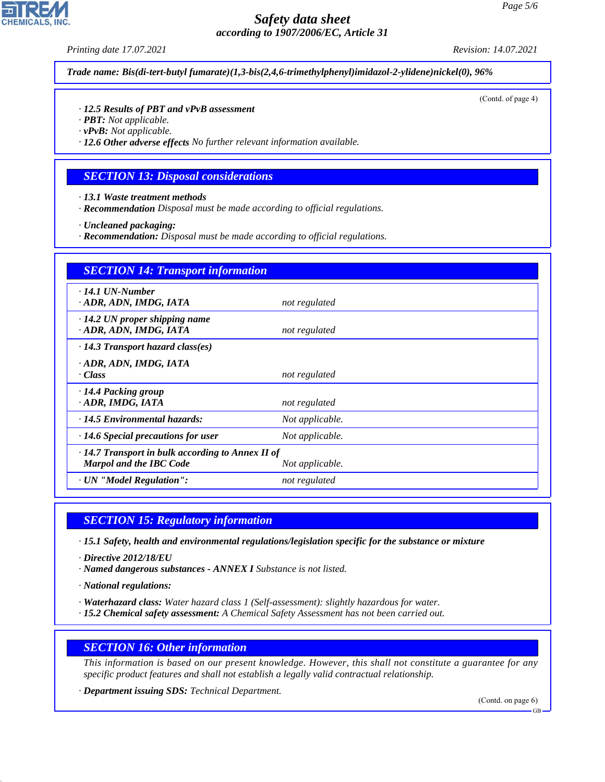*Printing date 17.07.2021 Revision: 14.07.2021*

*Trade name: Bis(di-tert-butyl fumarate)(1,3-bis(2,4,6-trimethylphenyl)imidazol-2-ylidene)nickel(0), 96%*

(Contd. of page 4)

#### *· 12.5 Results of PBT and vPvB assessment*

- *· PBT: Not applicable.*
- *· vPvB: Not applicable.*

*· 12.6 Other adverse effects No further relevant information available.*

#### *SECTION 13: Disposal considerations*

- *· 13.1 Waste treatment methods*
- *· Recommendation Disposal must be made according to official regulations.*
- *· Uncleaned packaging:*
- *· Recommendation: Disposal must be made according to official regulations.*

| <b>SECTION 14: Transport information</b>                                                  |                 |  |
|-------------------------------------------------------------------------------------------|-----------------|--|
| $\cdot$ 14.1 UN-Number<br>· ADR, ADN, IMDG, IATA                                          | not regulated   |  |
| $\cdot$ 14.2 UN proper shipping name<br>· ADR, ADN, IMDG, IATA                            | not regulated   |  |
| $\cdot$ 14.3 Transport hazard class(es)                                                   |                 |  |
| · ADR, ADN, IMDG, IATA<br>· Class                                                         | not regulated   |  |
| · 14.4 Packing group<br>· ADR, IMDG, IATA                                                 | not regulated   |  |
| · 14.5 Environmental hazards:                                                             | Not applicable. |  |
| $\cdot$ 14.6 Special precautions for user                                                 | Not applicable. |  |
| $\cdot$ 14.7 Transport in bulk according to Annex II of<br><b>Marpol and the IBC Code</b> | Not applicable. |  |
| · UN "Model Regulation":                                                                  | not regulated   |  |

## *SECTION 15: Regulatory information*

*· 15.1 Safety, health and environmental regulations/legislation specific for the substance or mixture*

- *· Directive 2012/18/EU*
- *· Named dangerous substances ANNEX I Substance is not listed.*
- *· National regulations:*

44.1.1

- *· Waterhazard class: Water hazard class 1 (Self-assessment): slightly hazardous for water.*
- *· 15.2 Chemical safety assessment: A Chemical Safety Assessment has not been carried out.*

## *SECTION 16: Other information*

*This information is based on our present knowledge. However, this shall not constitute a guarantee for any specific product features and shall not establish a legally valid contractual relationship.*

*· Department issuing SDS: Technical Department.*

(Contd. on page 6)



GB